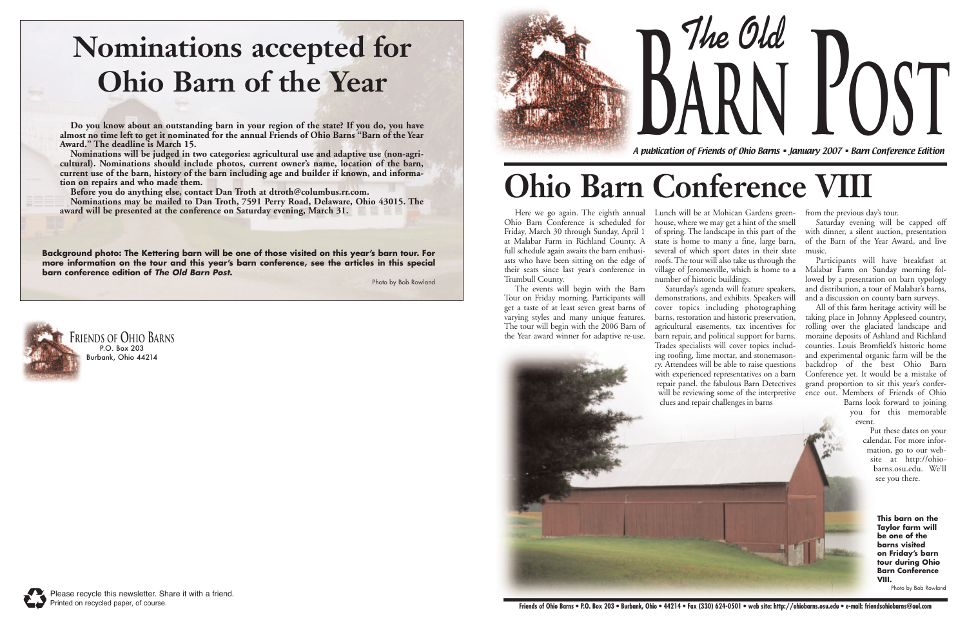Here we go again. The eighth annual Ohio Barn Conference is scheduled for Friday, March 30 through Sunday, April 1 at Malabar Farm in Richland County. A full schedule again awaits the barn enthusiasts who have been sitting on the edge of their seats since last year's conference in Trumbull County.

The events will begin with the Barn Tour on Friday morning. Participants will get a taste of at least seven great barns of varying styles and many unique features. The tour will begin with the 2006 Barn of the Year award winner for adaptive re-use.

Lunch will be at Mohican Gardens greenhouse, where we may get a hint of the smell of spring. The landscape in this part of the state is home to many a fine, large barn, several of which sport dates in their slate roofs. The tour will also take us through the village of Jeromesville, which is home to a number of historic buildings.

Saturday's agenda will feature speakers, demonstrations, and exhibits. Speakers will cover topics including photographing barns, restoration and historic preservation, agricultural easements, tax incentives for barn repair, and political support for barns. Trades specialists will cover topics includ-

will be reviewing some of the interpretive ence out. Members of Friends of Ohio All of this farm heritage activity will be taking place in Johnny Appleseed country, rolling over the glaciated landscape and moraine deposits of Ashland and Richland counties. Louis Bromfield's historic home and experimental organic farm will be the backdrop of the best Ohio Barn Conference yet. It would be a mistake of grand proportion to sit this year's confer-

ing roofing, lime mortar, and stonemasonry. Attendees will be able to raise questions with experienced representatives on a barn repair panel. the fabulous Barn Detectives





**Do you know about an outstanding barn in your region of the state? If you do, you have almost no time left to get it nominated for the annual Friends of Ohio Barns "Barn of the Year** Award." The deadline is March 15.<br>Nominations will be judged in two categories: agricultural use and adaptive use (non-agri-

from the previous day's tour.

Saturday evening will be capped off with dinner, a silent auction, presentation of the Barn of the Year Award, and live music.

Participants will have breakfast at Malabar Farm on Sunday morning followed by a presentation on barn typology and distribution, a tour of Malabar's barns, and a discussion on county barn surveys.

cultural). Nominations should include photos, current owner's name, location of the barn, **current use of the barn, history of the barn including age and builder if known, and information on repairs and who made them.**

> Barns look forward to joining you for this memorable event.

Put these dates on your calendar. For more information, go to our website at http://ohiobarns.osu.edu. We'll see you there.



A publication of Friends of Ohio Barns • January 2007 • Barn Conference Edition

**The Old arn P o s t**



# **Ohio Barn Conference VIII**



## **Nominations accepted for Ohio Barn of the Year**

**Before you do anything else, contact Dan Troth at dtroth@columbus.rr.com.** 

**Nominations may be mailed to Dan Troth, 7591 Perry Road, Delaware, Ohio 43015. The award will be presented at the conference on Saturday evening, March 31.**

**Background photo: The Kettering barn will be one of those visited on this year's barn tour. For more information on the tour and this year's barn conference, see the articles in this special barn conference edition of The Old Barn Post.** 

Photo by Bob Rowland

**This barn on the Taylor farm will be one of the barns visited on Friday's barn tour during Ohio Barn Conference VIII.** 

Photo by Bob Rowland